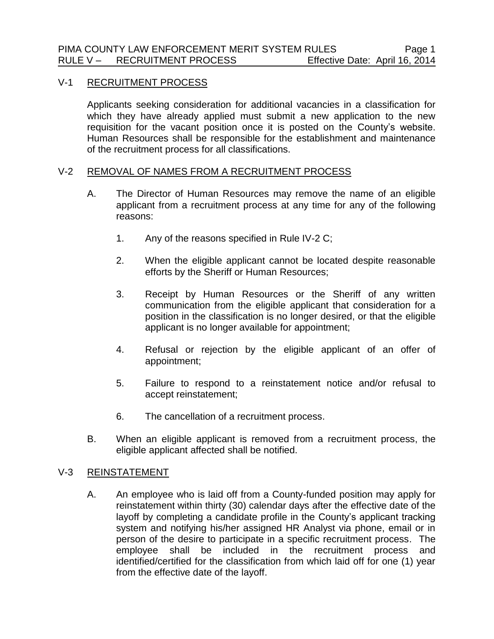## V-1 RECRUITMENT PROCESS

Applicants seeking consideration for additional vacancies in a classification for which they have already applied must submit a new application to the new requisition for the vacant position once it is posted on the County's website. Human Resources shall be responsible for the establishment and maintenance of the recruitment process for all classifications.

## V-2 REMOVAL OF NAMES FROM A RECRUITMENT PROCESS

- A. The Director of Human Resources may remove the name of an eligible applicant from a recruitment process at any time for any of the following reasons:
	- 1. Any of the reasons specified in Rule IV-2 C;
	- 2. When the eligible applicant cannot be located despite reasonable efforts by the Sheriff or Human Resources;
	- 3. Receipt by Human Resources or the Sheriff of any written communication from the eligible applicant that consideration for a position in the classification is no longer desired, or that the eligible applicant is no longer available for appointment;
	- 4. Refusal or rejection by the eligible applicant of an offer of appointment;
	- 5. Failure to respond to a reinstatement notice and/or refusal to accept reinstatement;
	- 6. The cancellation of a recruitment process.
- B. When an eligible applicant is removed from a recruitment process, the eligible applicant affected shall be notified.

## V-3 REINSTATEMENT

A. An employee who is laid off from a County-funded position may apply for reinstatement within thirty (30) calendar days after the effective date of the layoff by completing a candidate profile in the County's applicant tracking system and notifying his/her assigned HR Analyst via phone, email or in person of the desire to participate in a specific recruitment process. The employee shall be included in the recruitment process and identified/certified for the classification from which laid off for one (1) year from the effective date of the layoff.